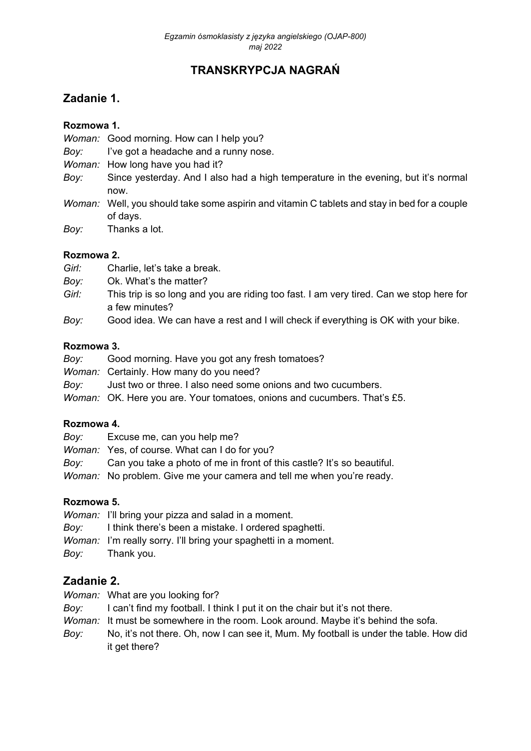# **TRANSKRYPCJA NAGRAŃ**

## **Zadanie 1.**

#### **Rozmowa 1.**

*Woman:* Good morning. How can I help you?

- *Boy:* I've got a headache and a runny nose.
- *Woman:* How long have you had it?
- *Boy:* Since yesterday. And I also had a high temperature in the evening, but it's normal now.
- *Woman:* Well, you should take some aspirin and vitamin C tablets and stay in bed for a couple of days.
- *Boy:* Thanks a lot.

#### **Rozmowa 2.**

- *Girl:* Charlie, let's take a break.
- *Boy:* Ok. What's the matter?
- *Girl:* This trip is so long and you are riding too fast. I am very tired. Can we stop here for a few minutes?
- *Boy:* Good idea. We can have a rest and I will check if everything is OK with your bike.

#### **Rozmowa 3.**

- *Boy:* Good morning. Have you got any fresh tomatoes?
- *Woman:* Certainly. How many do you need?
- *Boy:* Just two or three. I also need some onions and two cucumbers.
- *Woman:* OK. Here you are. Your tomatoes, onions and cucumbers. That's £5.

#### **Rozmowa 4.**

- *Boy:* Excuse me, can you help me?
- *Woman:* Yes, of course. What can I do for you?
- *Boy:* Can you take a photo of me in front of this castle? It's so beautiful.
- *Woman:* No problem. Give me your camera and tell me when you're ready.

#### **Rozmowa 5.**

- *Woman:* I'll bring your pizza and salad in a moment.
- *Boy:* I think there's been a mistake. I ordered spaghetti.
- *Woman:* I'm really sorry. I'll bring your spaghetti in a moment.
- *Boy:* Thank you.

#### **Zadanie 2.**

- *Woman:* What are you looking for?
- *Boy:* I can't find my football. I think I put it on the chair but it's not there.
- *Woman:* It must be somewhere in the room. Look around. Maybe it's behind the sofa.
- *Boy:* No, it's not there. Oh, now I can see it, Mum. My football is under the table. How did it get there?